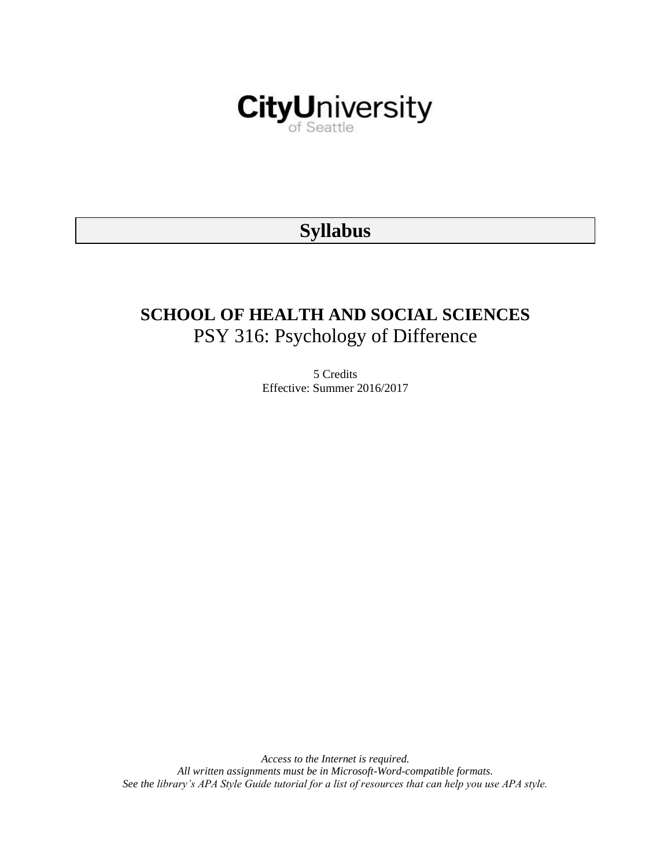

# **Syllabus**

# **SCHOOL OF HEALTH AND SOCIAL SCIENCES** PSY 316: Psychology of Difference

5 Credits Effective: Summer 2016/2017

*Access to the Internet is required. All written assignments must be in Microsoft-Word-compatible formats. See the library's APA Style Guide tutorial for a list of resources that can help you use APA style.*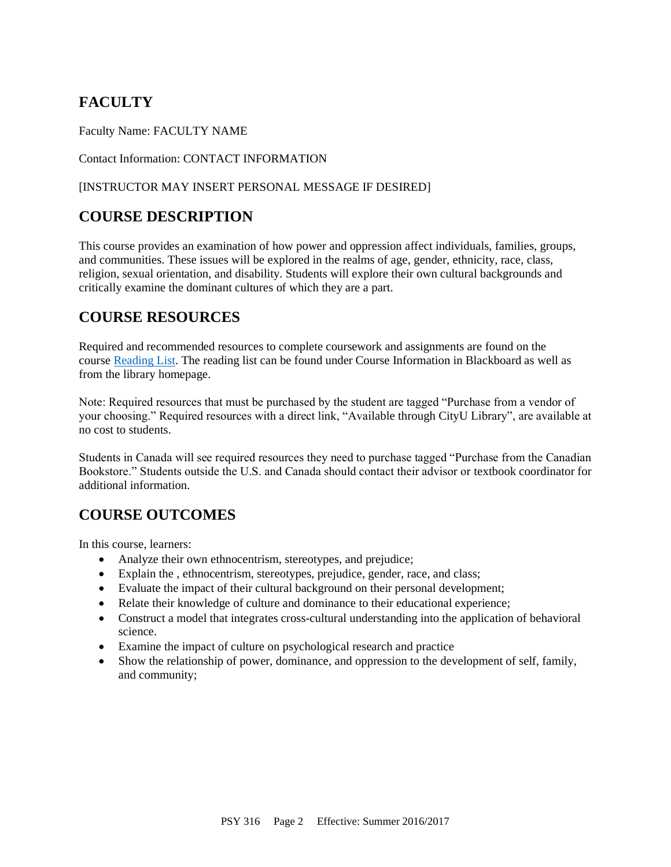## **FACULTY**

Faculty Name: FACULTY NAME

Contact Information: CONTACT INFORMATION

### [INSTRUCTOR MAY INSERT PERSONAL MESSAGE IF DESIRED]

## **COURSE DESCRIPTION**

This course provides an examination of how power and oppression affect individuals, families, groups, and communities. These issues will be explored in the realms of age, gender, ethnicity, race, class, religion, sexual orientation, and disability. Students will explore their own cultural backgrounds and critically examine the dominant cultures of which they are a part.

## **COURSE RESOURCES**

Required and recommended resources to complete coursework and assignments are found on the course [Reading List.](https://nam03.safelinks.protection.outlook.com/?url=https%3A%2F%2Fcityu.alma.exlibrisgroup.com%2Fleganto%2Flogin%3Fauth%3DSAML&data=04%7C01%7CMMara%40cityu.edu%7C70673ce0fe0144040eda08d87472e204%7Cb3fa96d9f5154662add763d854e39e63%7C1%7C0%7C637387384066198115%7CUnknown%7CTWFpbGZsb3d8eyJWIjoiMC4wLjAwMDAiLCJQIjoiV2luMzIiLCJBTiI6Ik1haWwiLCJXVCI6Mn0%3D%7C1000&sdata=JbwP%2Fm5Q%2BMgIUWa%2FXceos%2BoiLv0DX%2B%2FL%2BNGNMbX9P8E%3D&reserved=0) The reading list can be found under Course Information in Blackboard as well as from the library homepage.

Note: Required resources that must be purchased by the student are tagged "Purchase from a vendor of your choosing." Required resources with a direct link, "Available through CityU Library", are available at no cost to students.

Students in Canada will see required resources they need to purchase tagged "Purchase from the Canadian Bookstore." Students outside the U.S. and Canada should contact their advisor or textbook coordinator for additional information.

## **COURSE OUTCOMES**

In this course, learners:

- Analyze their own ethnocentrism, stereotypes, and prejudice;
- Explain the , ethnocentrism, stereotypes, prejudice, gender, race, and class;
- Evaluate the impact of their cultural background on their personal development;
- Relate their knowledge of culture and dominance to their educational experience;
- Construct a model that integrates cross-cultural understanding into the application of behavioral science.
- Examine the impact of culture on psychological research and practice
- Show the relationship of power, dominance, and oppression to the development of self, family, and community;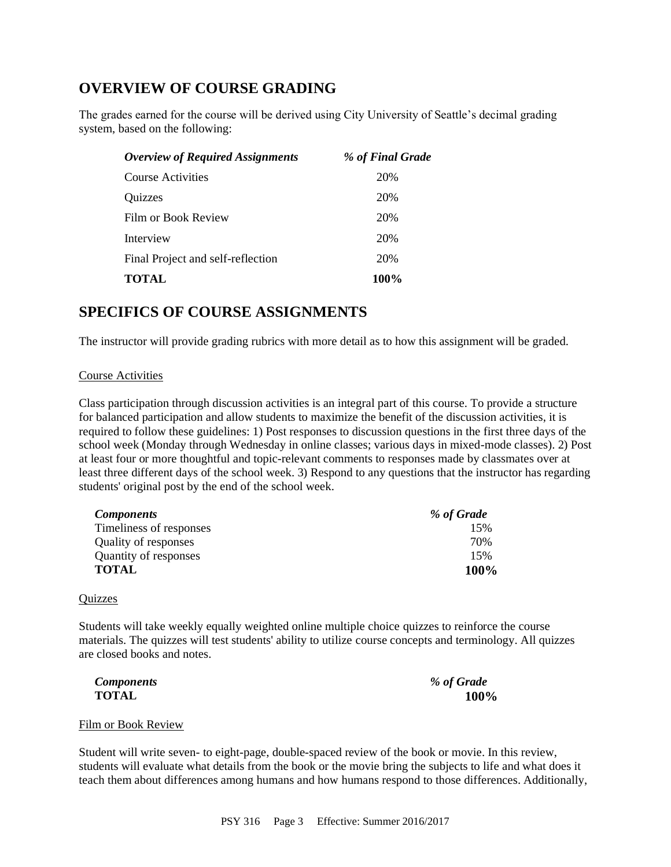## **OVERVIEW OF COURSE GRADING**

The grades earned for the course will be derived using City University of Seattle's decimal grading system, based on the following:

| % of Final Grade |
|------------------|
| 20%              |
| 20%              |
| 20%              |
| 20%              |
| 20%              |
| 100%             |
|                  |

### **SPECIFICS OF COURSE ASSIGNMENTS**

The instructor will provide grading rubrics with more detail as to how this assignment will be graded.

#### Course Activities

Class participation through discussion activities is an integral part of this course. To provide a structure for balanced participation and allow students to maximize the benefit of the discussion activities, it is required to follow these guidelines: 1) Post responses to discussion questions in the first three days of the school week (Monday through Wednesday in online classes; various days in mixed-mode classes). 2) Post at least four or more thoughtful and topic-relevant comments to responses made by classmates over at least three different days of the school week. 3) Respond to any questions that the instructor has regarding students' original post by the end of the school week.

| <b>Components</b>       | % of Grade |
|-------------------------|------------|
| Timeliness of responses | 15%        |
| Quality of responses    | 70%        |
| Quantity of responses   | 15%        |
| <b>TOTAL</b>            | 100%       |

#### **Quizzes**

Students will take weekly equally weighted online multiple choice quizzes to reinforce the course materials. The quizzes will test students' ability to utilize course concepts and terminology. All quizzes are closed books and notes.

| <b>Components</b> | % of Grade |
|-------------------|------------|
| <b>TOTAL</b>      | 100%       |

#### Film or Book Review

Student will write seven- to eight-page, double-spaced review of the book or movie. In this review, students will evaluate what details from the book or the movie bring the subjects to life and what does it teach them about differences among humans and how humans respond to those differences. Additionally,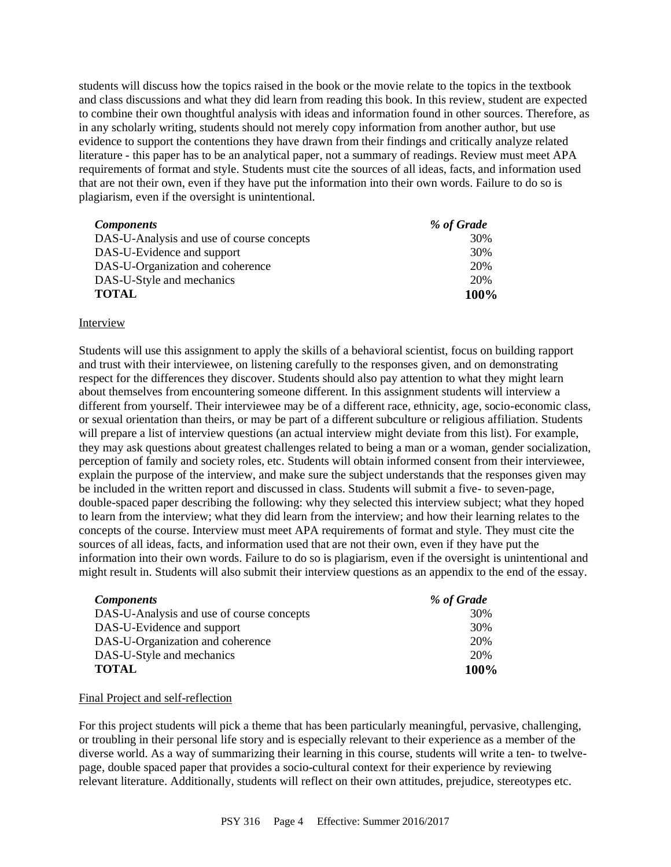students will discuss how the topics raised in the book or the movie relate to the topics in the textbook and class discussions and what they did learn from reading this book. In this review, student are expected to combine their own thoughtful analysis with ideas and information found in other sources. Therefore, as in any scholarly writing, students should not merely copy information from another author, but use evidence to support the contentions they have drawn from their findings and critically analyze related literature - this paper has to be an analytical paper, not a summary of readings. Review must meet APA requirements of format and style. Students must cite the sources of all ideas, facts, and information used that are not their own, even if they have put the information into their own words. Failure to do so is plagiarism, even if the oversight is unintentional.

| <b>Components</b>                         | % of Grade |
|-------------------------------------------|------------|
| DAS-U-Analysis and use of course concepts | 30%        |
| DAS-U-Evidence and support                | 30%        |
| DAS-U-Organization and coherence          | 20%        |
| DAS-U-Style and mechanics                 | 20%        |
| <b>TOTAL</b>                              | 100%       |

#### Interview

Students will use this assignment to apply the skills of a behavioral scientist, focus on building rapport and trust with their interviewee, on listening carefully to the responses given, and on demonstrating respect for the differences they discover. Students should also pay attention to what they might learn about themselves from encountering someone different. In this assignment students will interview a different from yourself. Their interviewee may be of a different race, ethnicity, age, socio-economic class, or sexual orientation than theirs, or may be part of a different subculture or religious affiliation. Students will prepare a list of interview questions (an actual interview might deviate from this list). For example, they may ask questions about greatest challenges related to being a man or a woman, gender socialization, perception of family and society roles, etc. Students will obtain informed consent from their interviewee, explain the purpose of the interview, and make sure the subject understands that the responses given may be included in the written report and discussed in class. Students will submit a five- to seven-page, double-spaced paper describing the following: why they selected this interview subject; what they hoped to learn from the interview; what they did learn from the interview; and how their learning relates to the concepts of the course. Interview must meet APA requirements of format and style. They must cite the sources of all ideas, facts, and information used that are not their own, even if they have put the information into their own words. Failure to do so is plagiarism, even if the oversight is unintentional and might result in. Students will also submit their interview questions as an appendix to the end of the essay.

| <i>Components</i>                         | % of Grade |
|-------------------------------------------|------------|
| DAS-U-Analysis and use of course concepts | 30%        |
| DAS-U-Evidence and support                | 30%        |
| DAS-U-Organization and coherence          | 20%        |
| DAS-U-Style and mechanics                 | 20%        |
| TOTAL                                     | 100%       |

#### Final Project and self-reflection

For this project students will pick a theme that has been particularly meaningful, pervasive, challenging, or troubling in their personal life story and is especially relevant to their experience as a member of the diverse world. As a way of summarizing their learning in this course, students will write a ten- to twelvepage, double spaced paper that provides a socio-cultural context for their experience by reviewing relevant literature. Additionally, students will reflect on their own attitudes, prejudice, stereotypes etc.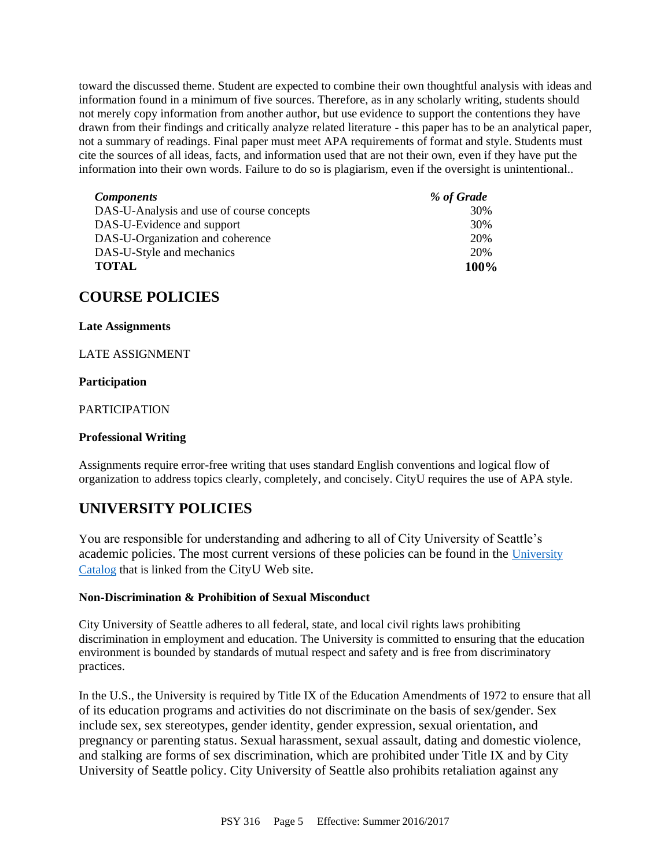toward the discussed theme. Student are expected to combine their own thoughtful analysis with ideas and information found in a minimum of five sources. Therefore, as in any scholarly writing, students should not merely copy information from another author, but use evidence to support the contentions they have drawn from their findings and critically analyze related literature - this paper has to be an analytical paper, not a summary of readings. Final paper must meet APA requirements of format and style. Students must cite the sources of all ideas, facts, and information used that are not their own, even if they have put the information into their own words. Failure to do so is plagiarism, even if the oversight is unintentional..

| <b>Components</b>                         | % of Grade |
|-------------------------------------------|------------|
| DAS-U-Analysis and use of course concepts | 30%        |
| DAS-U-Evidence and support                | 30%        |
| DAS-U-Organization and coherence          | 20%        |
| DAS-U-Style and mechanics                 | 20%        |
| <b>TOTAL</b>                              | 100\%      |

### **COURSE POLICIES**

#### **Late Assignments**

#### LATE ASSIGNMENT

#### **Participation**

#### PARTICIPATION

#### **Professional Writing**

Assignments require error-free writing that uses standard English conventions and logical flow of organization to address topics clearly, completely, and concisely. CityU requires the use of APA style.

### **UNIVERSITY POLICIES**

You are responsible for understanding and adhering to all of City University of Seattle's academic policies. The most current versions of these policies can be found in the [University](https://www.cityu.edu/catalog/)  [Catalog](https://www.cityu.edu/catalog/) that is linked from the CityU Web site.

#### **Non-Discrimination & Prohibition of Sexual Misconduct**

City University of Seattle adheres to all federal, state, and local civil rights laws prohibiting discrimination in employment and education. The University is committed to ensuring that the education environment is bounded by standards of mutual respect and safety and is free from discriminatory practices.

In the U.S., the University is required by Title IX of the Education Amendments of 1972 to ensure that all of its education programs and activities do not discriminate on the basis of sex/gender. Sex include sex, sex stereotypes, gender identity, gender expression, sexual orientation, and pregnancy or parenting status. Sexual harassment, sexual assault, dating and domestic violence, and stalking are forms of sex discrimination, which are prohibited under Title IX and by City University of Seattle policy. City University of Seattle also prohibits retaliation against any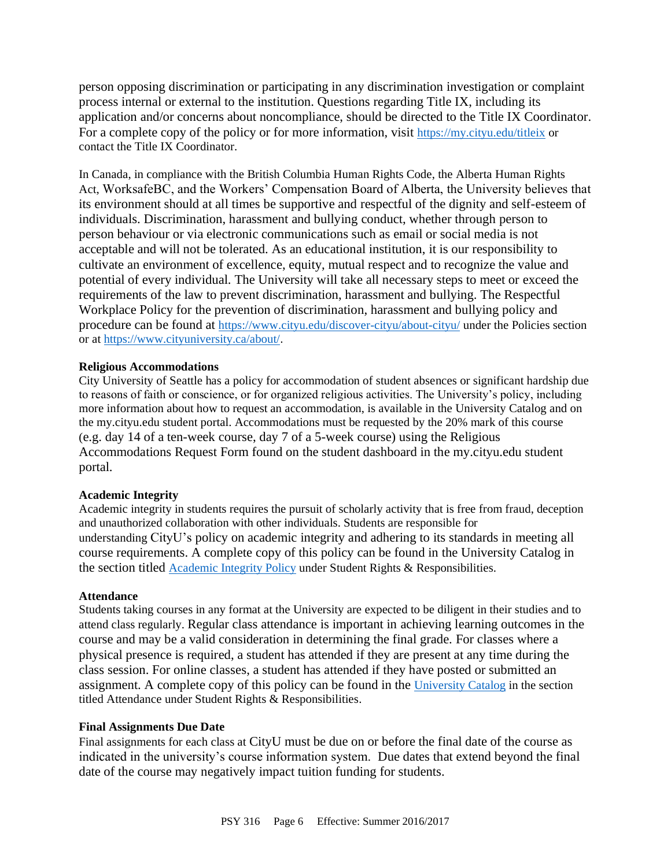person opposing discrimination or participating in any discrimination investigation or complaint process internal or external to the institution. Questions regarding Title IX, including its application and/or concerns about noncompliance, should be directed to the Title IX Coordinator. For a complete copy of the policy or for more information, visit <https://my.cityu.edu/titleix> or contact the Title IX Coordinator.

In Canada, in compliance with the British Columbia Human Rights Code, the Alberta Human Rights Act, WorksafeBC, and the Workers' Compensation Board of Alberta, the University believes that its environment should at all times be supportive and respectful of the dignity and self-esteem of individuals. Discrimination, harassment and bullying conduct, whether through person to person behaviour or via electronic communications such as email or social media is not acceptable and will not be tolerated. As an educational institution, it is our responsibility to cultivate an environment of excellence, equity, mutual respect and to recognize the value and potential of every individual. The University will take all necessary steps to meet or exceed the requirements of the law to prevent discrimination, harassment and bullying. The Respectful Workplace Policy for the prevention of discrimination, harassment and bullying policy and procedure can be found at <https://www.cityu.edu/discover-cityu/about-cityu/> under the Policies section or at <https://www.cityuniversity.ca/about/>.

#### **Religious Accommodations**

City University of Seattle has a policy for accommodation of student absences or significant hardship due to reasons of faith or conscience, or for organized religious activities. The University's policy, including more information about how to request an accommodation, is available in the University Catalog and on the my.cityu.edu student portal. Accommodations must be requested by the 20% mark of this course (e.g. day 14 of a ten-week course, day 7 of a 5-week course) using the Religious Accommodations Request Form found on the student dashboard in the my.cityu.edu student portal.

#### **Academic Integrity**

Academic integrity in students requires the pursuit of scholarly activity that is free from fraud, deception and unauthorized collaboration with other individuals. Students are responsible for understanding CityU's policy on academic integrity and adhering to its standards in meeting all course requirements. A complete copy of this policy can be found in the University Catalog in the section titled [Academic Integrity Policy](https://www.cityu.edu/catalog/;) under Student Rights & Responsibilities.

#### **Attendance**

Students taking courses in any format at the University are expected to be diligent in their studies and to attend class regularly. Regular class attendance is important in achieving learning outcomes in the course and may be a valid consideration in determining the final grade. For classes where a physical presence is required, a student has attended if they are present at any time during the class session. For online classes, a student has attended if they have posted or submitted an assignment. A complete copy of this policy can be found in the [University Catalog](https://www.cityu.edu/catalog/;) in the section titled Attendance under Student Rights & Responsibilities.

#### **Final Assignments Due Date**

Final assignments for each class at CityU must be due on or before the final date of the course as indicated in the university's course information system. Due dates that extend beyond the final date of the course may negatively impact tuition funding for students.